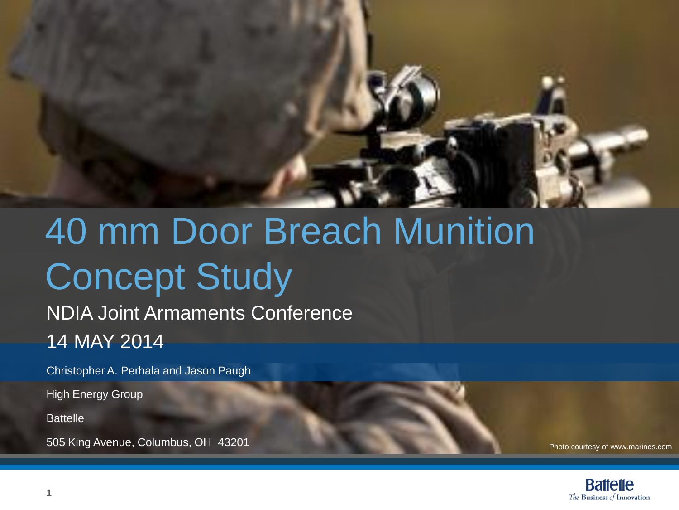

## 40 mm Door Breach Munition Concept Study

#### NDIA Joint Armaments Conference 14 MAY 2014

Christopher A. Perhala and Jason Paugh

High Energy Group

**Battelle** 

505 King Avenue, Columbus, OH 43201

Photo courtesy of www.marines.com

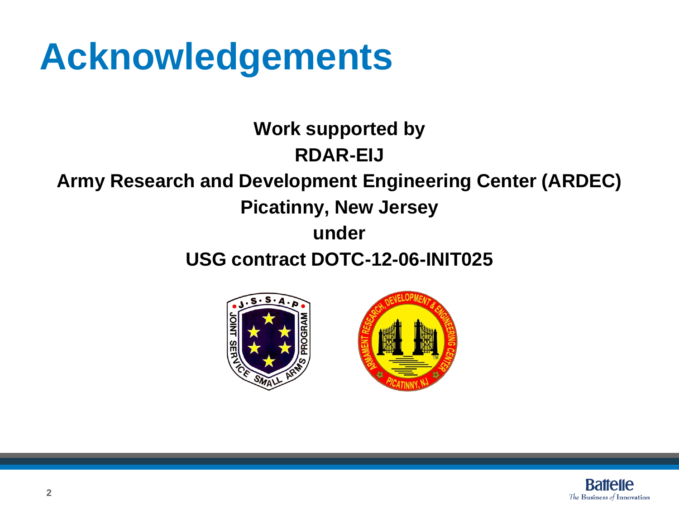### **Acknowledgements**

**Work supported by RDAR-EIJ**

#### **Army Research and Development Engineering Center (ARDEC)**

#### **Picatinny, New Jersey**

#### **under**

#### **USG contract DOTC-12-06-INIT025**





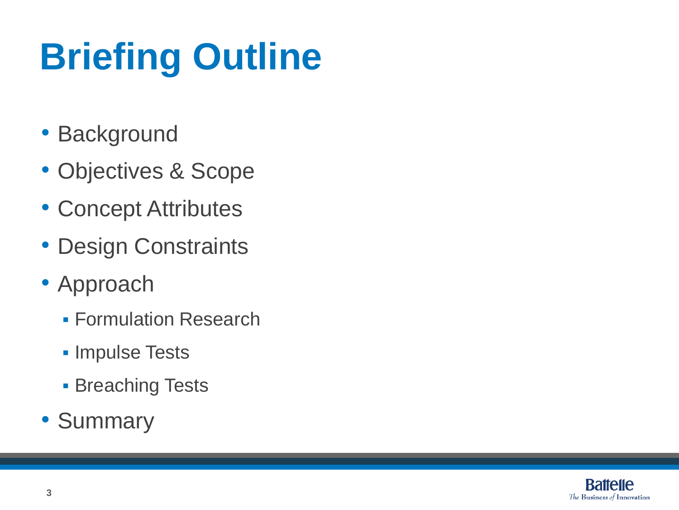# **Briefing Outline**

- Background
- Objectives & Scope
- Concept Attributes
- Design Constraints
- Approach
	- **Formulation Research**
	- **Impulse Tests**
	- **Breaching Tests**
- Summary

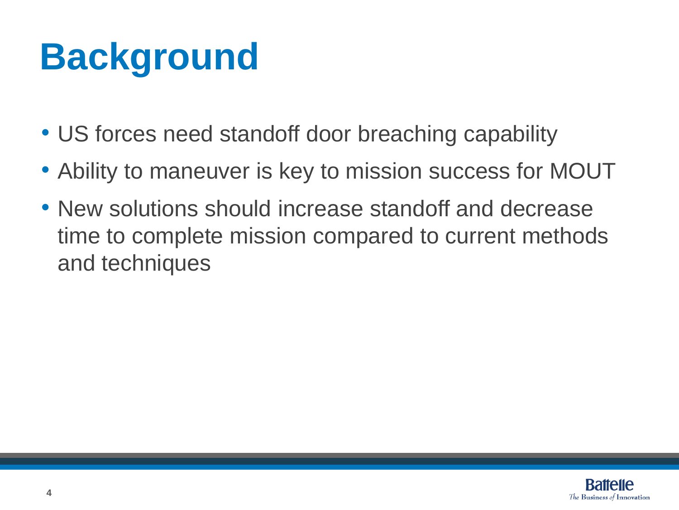## **Background**

- US forces need standoff door breaching capability
- Ability to maneuver is key to mission success for MOUT
- New solutions should increase standoff and decrease time to complete mission compared to current methods and techniques

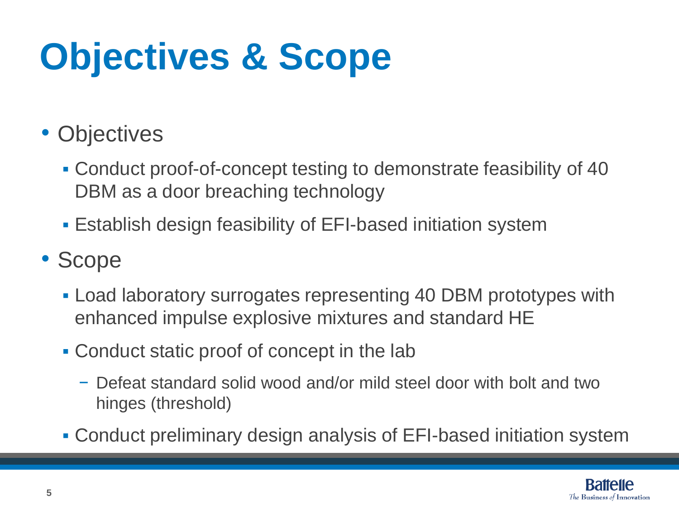## **Objectives & Scope**

- Objectives
	- Conduct proof-of-concept testing to demonstrate feasibility of 40 DBM as a door breaching technology
	- Establish design feasibility of EFI-based initiation system

#### • Scope

- Load laboratory surrogates representing 40 DBM prototypes with enhanced impulse explosive mixtures and standard HE
- Conduct static proof of concept in the lab
	- − Defeat standard solid wood and/or mild steel door with bolt and two hinges (threshold)
- Conduct preliminary design analysis of EFI-based initiation system

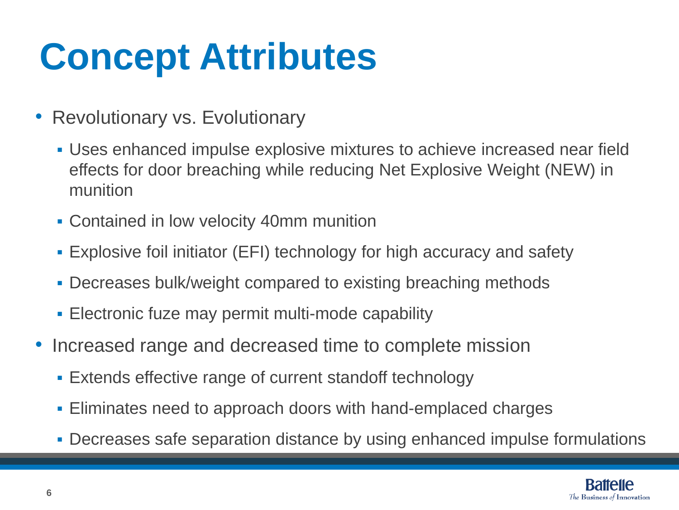## **Concept Attributes**

- Revolutionary vs. Evolutionary
	- Uses enhanced impulse explosive mixtures to achieve increased near field effects for door breaching while reducing Net Explosive Weight (NEW) in munition
	- Contained in low velocity 40mm munition
	- Explosive foil initiator (EFI) technology for high accuracy and safety
	- Decreases bulk/weight compared to existing breaching methods
	- **Electronic fuze may permit multi-mode capability**
- Increased range and decreased time to complete mission
	- Extends effective range of current standoff technology
	- **Eliminates need to approach doors with hand-emplaced charges**
	- Decreases safe separation distance by using enhanced impulse formulations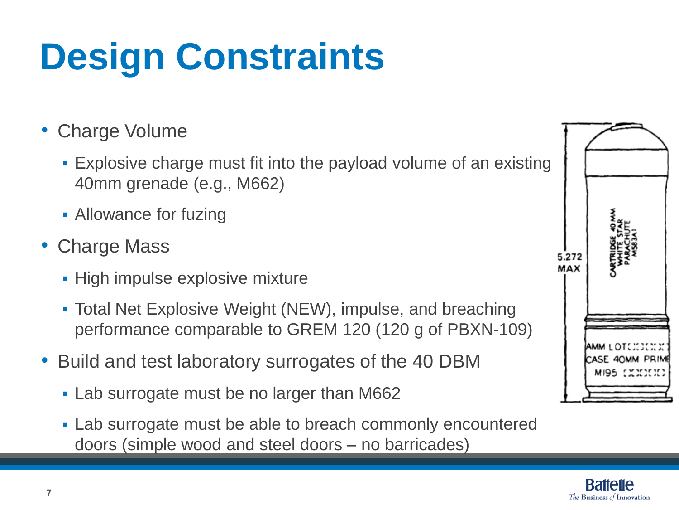# **Design Constraints**

#### • Charge Volume

- Explosive charge must fit into the payload volume of an existing 40mm grenade (e.g., M662)
- Allowance for fuzing
- Charge Mass
	- **High impulse explosive mixture**
	- Total Net Explosive Weight (NEW), impulse, and breaching performance comparable to GREM 120 (120 g of PBXN-109)
- Build and test laboratory surrogates of the 40 DBM
	- **Lab surrogate must be no larger than M662**
	- **Lab surrogate must be able to breach commonly encountered** doors (simple wood and steel doors – no barricades)

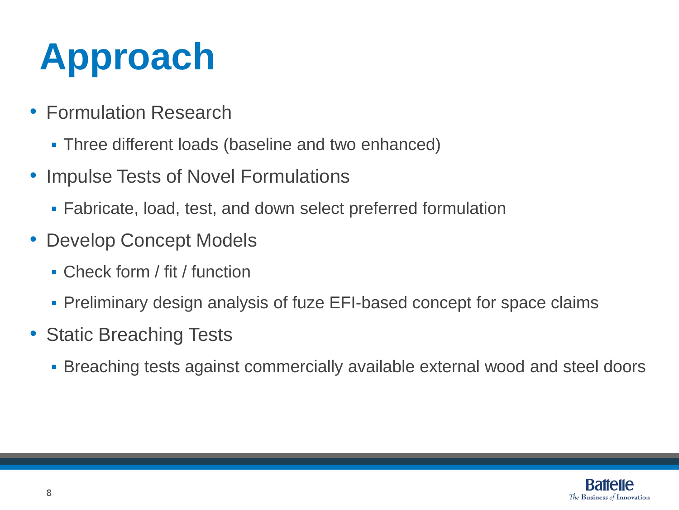## **Approach**

- Formulation Research
	- Three different loads (baseline and two enhanced)
- Impulse Tests of Novel Formulations
	- Fabricate, load, test, and down select preferred formulation
- Develop Concept Models
	- Check form / fit / function
	- Preliminary design analysis of fuze EFI-based concept for space claims
- Static Breaching Tests
	- Breaching tests against commercially available external wood and steel doors

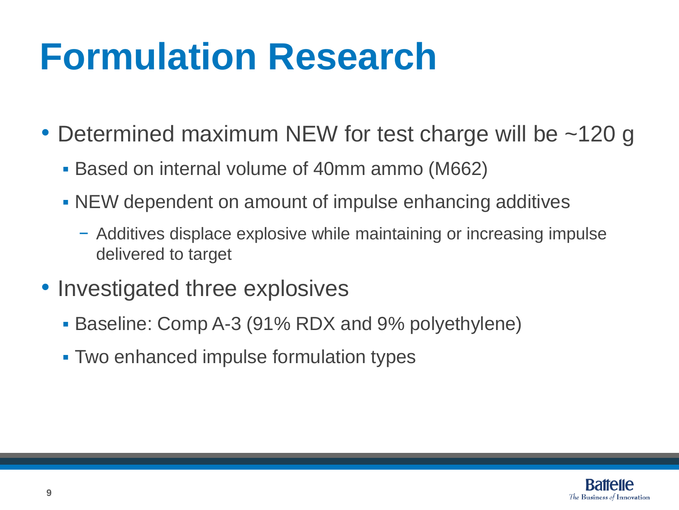### **Formulation Research**

- Determined maximum NEW for test charge will be ~120 g
	- Based on internal volume of 40mm ammo (M662)
	- NEW dependent on amount of impulse enhancing additives
		- − Additives displace explosive while maintaining or increasing impulse delivered to target
- Investigated three explosives
	- Baseline: Comp A-3 (91% RDX and 9% polyethylene)
	- Two enhanced impulse formulation types

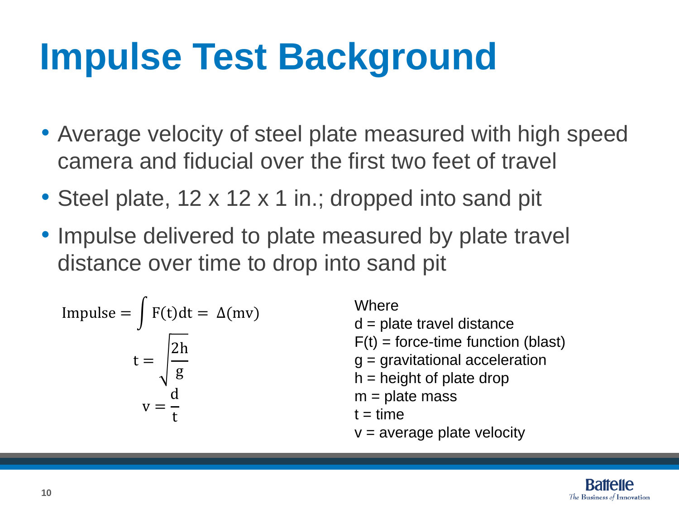### **Impulse Test Background**

- Average velocity of steel plate measured with high speed camera and fiducial over the first two feet of travel
- Steel plate, 12 x 12 x 1 in.; dropped into sand pit
- Impulse delivered to plate measured by plate travel distance over time to drop into sand pit

Impulse = 
$$
\int F(t)dt = \Delta(mv)
$$
  

$$
t = \sqrt{\frac{2h}{g}}
$$

$$
v = \frac{d}{t}
$$

**Where** 

- $d =$  plate travel distance
- $F(t)$  = force-time function (blast)
- $g =$  gravitational acceleration
- $h =$  height of plate drop
- $m =$  plate mass
- $t = time$
- $v =$  average plate velocity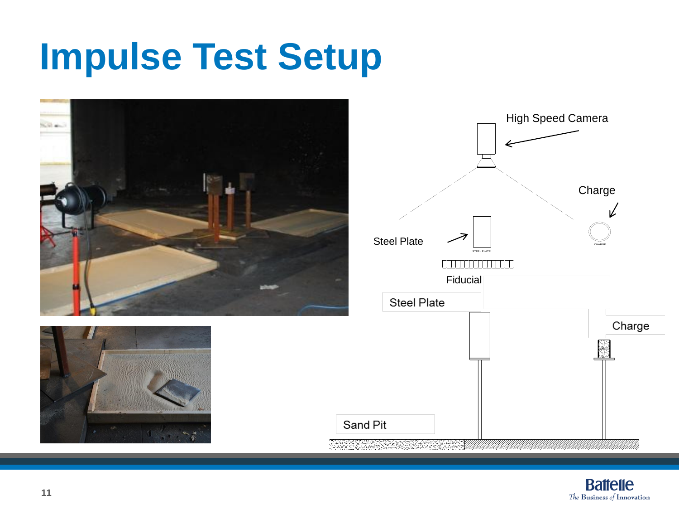### **Impulse Test Setup**





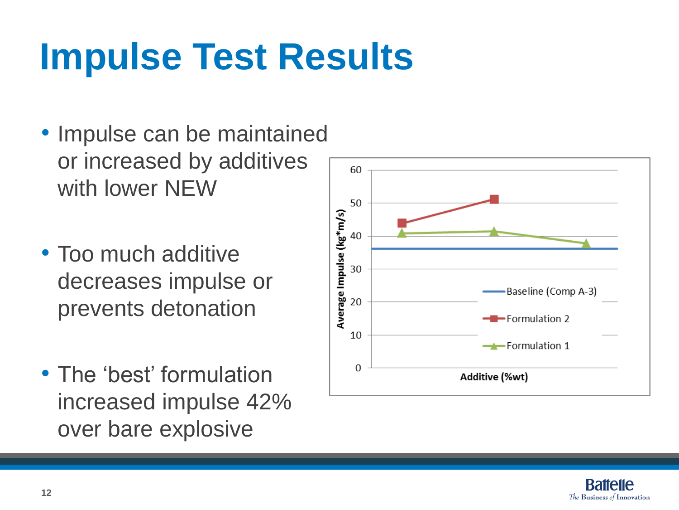## **Impulse Test Results**

- Impulse can be maintained or increased by additives with lower NEW
- Too much additive decreases impulse or prevents detonation
- The 'best' formulation increased impulse 42% over bare explosive



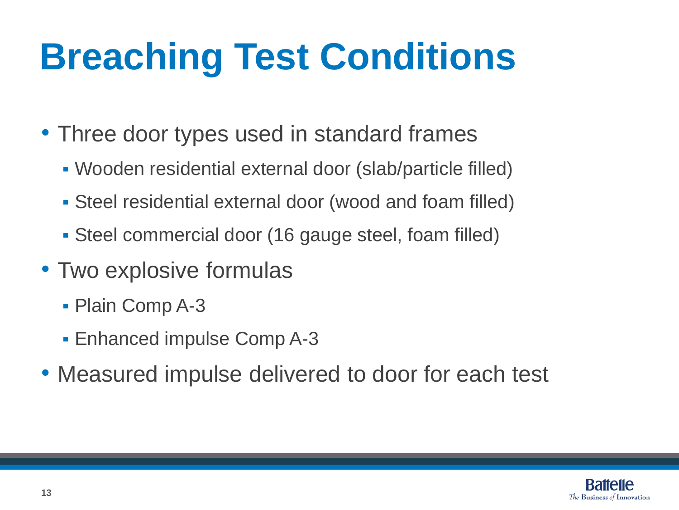## **Breaching Test Conditions**

- Three door types used in standard frames
	- Wooden residential external door (slab/particle filled)
	- Steel residential external door (wood and foam filled)
	- Steel commercial door (16 gauge steel, foam filled)
- Two explosive formulas
	- Plain Comp A-3
	- Enhanced impulse Comp A-3
- Measured impulse delivered to door for each test

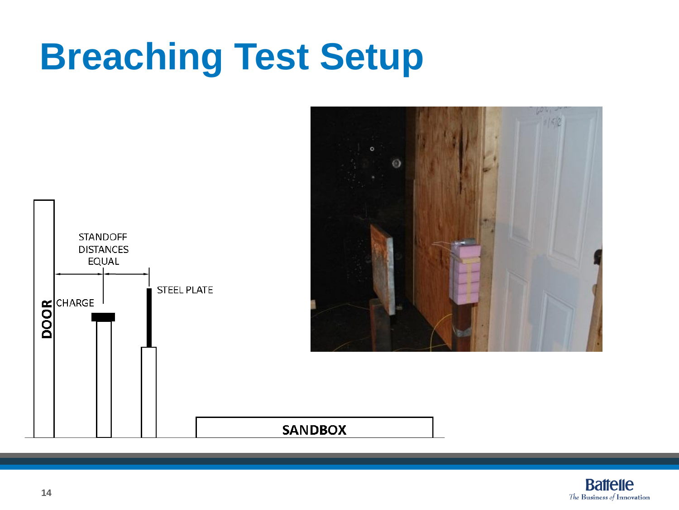### **Breaching Test Setup**



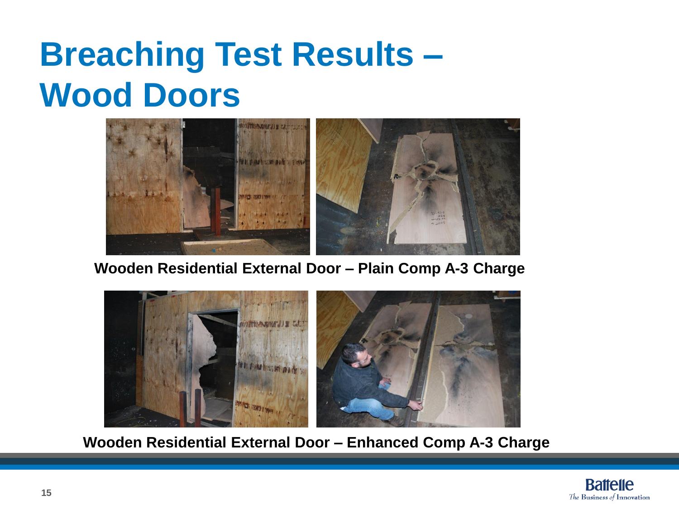### **Breaching Test Results – Wood Doors**



**Wooden Residential External Door – Plain Comp A-3 Charge**



**Wooden Residential External Door – Enhanced Comp A-3 Charge**

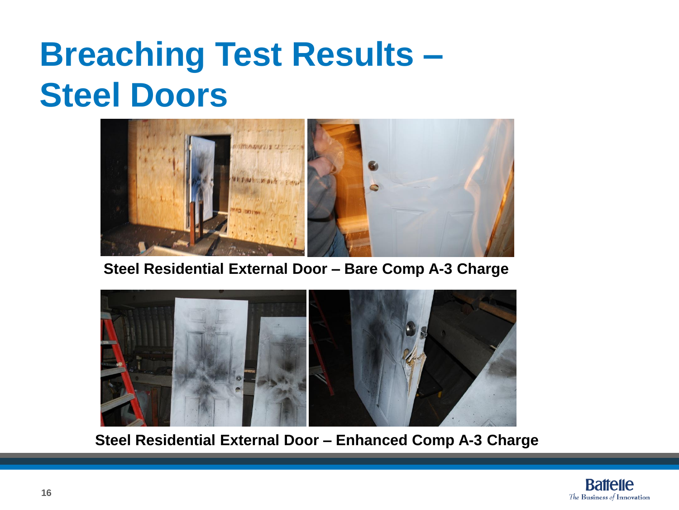### **Breaching Test Results – Steel Doors**



**Steel Residential External Door – Bare Comp A-3 Charge**



**Steel Residential External Door – Enhanced Comp A-3 Charge**

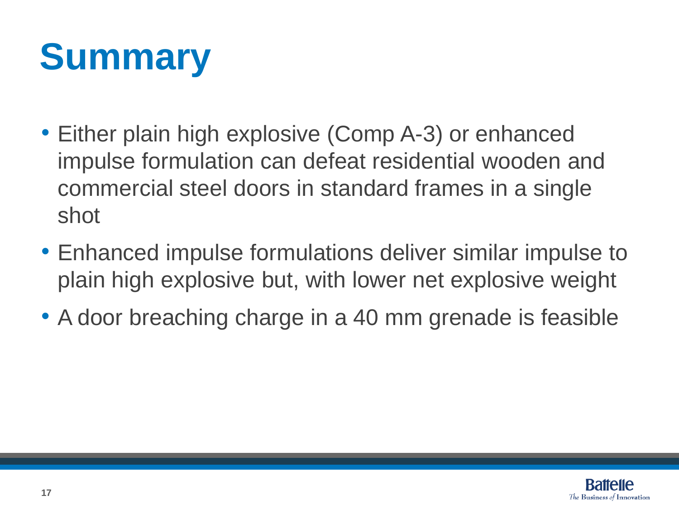## **Summary**

- Either plain high explosive (Comp A-3) or enhanced impulse formulation can defeat residential wooden and commercial steel doors in standard frames in a single shot
- Enhanced impulse formulations deliver similar impulse to plain high explosive but, with lower net explosive weight
- A door breaching charge in a 40 mm grenade is feasible